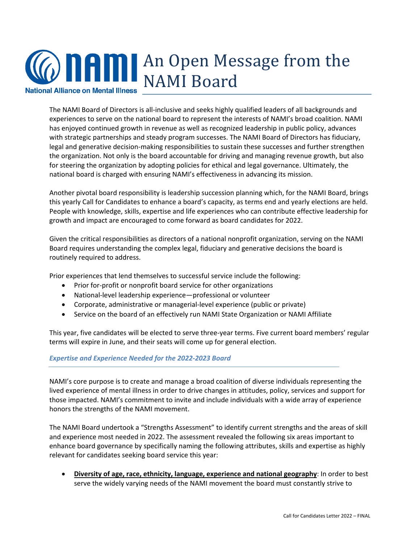

The NAMI Board of Directors is all-inclusive and seeks highly qualified leaders of all backgrounds and experiences to serve on the national board to represent the interests of NAMI's broad coalition. NAMI has enjoyed continued growth in revenue as well as recognized leadership in public policy, advances with strategic partnerships and steady program successes. The NAMI Board of Directors has fiduciary, legal and generative decision-making responsibilities to sustain these successes and further strengthen the organization. Not only is the board accountable for driving and managing revenue growth, but also for steering the organization by adopting policies for ethical and legal governance. Ultimately, the national board is charged with ensuring NAMI's effectiveness in advancing its mission.

Another pivotal board responsibility is leadership succession planning which, for the NAMI Board, brings this yearly Call for Candidates to enhance a board's capacity, as terms end and yearly elections are held. People with knowledge, skills, expertise and life experiences who can contribute effective leadership for growth and impact are encouraged to come forward as board candidates for 2022.

Given the critical responsibilities as directors of a national nonprofit organization, serving on the NAMI Board requires understanding the complex legal, fiduciary and generative decisions the board is routinely required to address.

Prior experiences that lend themselves to successful service include the following:

- Prior for-profit or nonprofit board service for other organizations
- National-level leadership experience―professional or volunteer
- Corporate, administrative or managerial-level experience (public or private)
- Service on the board of an effectively run NAMI State Organization or NAMI Affiliate

This year, five candidates will be elected to serve three-year terms. Five current board members' regular terms will expire in June, and their seats will come up for general election.

## *Expertise and Experience Needed for the 2022-2023 Board*

NAMI's core purpose is to create and manage a broad coalition of diverse individuals representing the lived experience of mental illness in order to drive changes in attitudes, policy, services and support for those impacted. NAMI's commitment to invite and include individuals with a wide array of experience honors the strengths of the NAMI movement.

The NAMI Board undertook a "Strengths Assessment" to identify current strengths and the areas of skill and experience most needed in 2022. The assessment revealed the following six areas important to enhance board governance by specifically naming the following attributes, skills and expertise as highly relevant for candidates seeking board service this year:

**Diversity of age, race, ethnicity, language, experience and national geography:** In order to best serve the widely varying needs of the NAMI movement the board must constantly strive to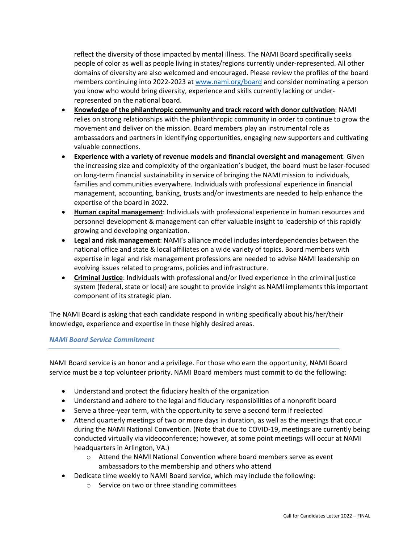reflect the diversity of those impacted by mental illness. The NAMI Board specifically seeks people of color as well as people living in states/regions currently under-represented. All other domains of diversity are also welcomed and encouraged. Please review the profiles of the board members continuing into 2022-2023 at [www.nami.org/board](https://www.nami.org/board) and consider nominating a person you know who would bring diversity, experience and skills currently lacking or underrepresented on the national board.

- **Knowledge of the philanthropic community and track record with donor cultivation**: NAMI relies on strong relationships with the philanthropic community in order to continue to grow the movement and deliver on the mission. Board members play an instrumental role as ambassadors and partners in identifying opportunities, engaging new supporters and cultivating valuable connections.
- **Experience with a variety of revenue models and financial oversight and management**: Given the increasing size and complexity of the organization's budget, the board must be laser-focused on long-term financial sustainability in service of bringing the NAMI mission to individuals, families and communities everywhere. Individuals with professional experience in financial management, accounting, banking, trusts and/or investments are needed to help enhance the expertise of the board in 2022.
- **Human capital management**: Individuals with professional experience in human resources and personnel development & management can offer valuable insight to leadership of this rapidly growing and developing organization.
- **Legal and risk management**: NAMI's alliance model includes interdependencies between the national office and state & local affiliates on a wide variety of topics. Board members with expertise in legal and risk management professions are needed to advise NAMI leadership on evolving issues related to programs, policies and infrastructure.
- **Criminal Justice**: Individuals with professional and/or lived experience in the criminal justice system (federal, state or local) are sought to provide insight as NAMI implements this important component of its strategic plan.

The NAMI Board is asking that each candidate respond in writing specifically about his/her/their knowledge, experience and expertise in these highly desired areas.

## *NAMI Board Service Commitment*

NAMI Board service is an honor and a privilege. For those who earn the opportunity, NAMI Board service must be a top volunteer priority. NAMI Board members must commit to do the following:

- Understand and protect the fiduciary health of the organization
- Understand and adhere to the legal and fiduciary responsibilities of a nonprofit board
- Serve a three-year term, with the opportunity to serve a second term if reelected
- Attend quarterly meetings of two or more days in duration, as well as the meetings that occur during the NAMI National Convention. (Note that due to COVID-19, meetings are currently being conducted virtually via videoconference; however, at some point meetings will occur at NAMI headquarters in Arlington, VA.)
	- o Attend the NAMI National Convention where board members serve as event ambassadors to the membership and others who attend
- Dedicate time weekly to NAMI Board service, which may include the following:
	- o Service on two or three standing committees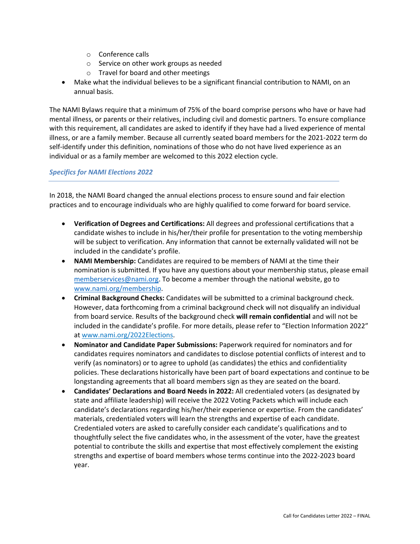- o Conference calls
- o Service on other work groups as needed
- o Travel for board and other meetings
- Make what the individual believes to be a significant financial contribution to NAMI, on an annual basis.

The NAMI Bylaws require that a minimum of 75% of the board comprise persons who have or have had mental illness, or parents or their relatives, including civil and domestic partners. To ensure compliance with this requirement, all candidates are asked to identify if they have had a lived experience of mental illness, or are a family member. Because all currently seated board members for the 2021-2022 term do self-identify under this definition, nominations of those who do not have lived experience as an individual or as a family member are welcomed to this 2022 election cycle.

## *Specifics for NAMI Elections 2022*

In 2018, the NAMI Board changed the annual elections process to ensure sound and fair election practices and to encourage individuals who are highly qualified to come forward for board service.

- **Verification of Degrees and Certifications:** All degrees and professional certifications that a candidate wishes to include in his/her/their profile for presentation to the voting membership will be subject to verification. Any information that cannot be externally validated will not be included in the candidate's profile.
- **NAMI Membership:** Candidates are required to be members of NAMI at the time their nomination is submitted. If you have any questions about your membership status, please email [memberservices@nami.org.](mailto:memberservices@nami.org) To become a member through the national website, go to [www.nami.org/membership.](http://www.nami.org/membership)
- **Criminal Background Checks:** Candidates will be submitted to a criminal background check. However, data forthcoming from a criminal background check will not disqualify an individual from board service. Results of the background check **will remain confidential** and will not be included in the candidate's profile. For more details, please refer to "Election Information 2022" at [www.nami.org/2022Elections.](http://www.nami.org/2022Elections)
- **Nominator and Candidate Paper Submissions:** Paperwork required for nominators and for candidates requires nominators and candidates to disclose potential conflicts of interest and to verify (as nominators) or to agree to uphold (as candidates) the ethics and confidentiality policies. These declarations historically have been part of board expectations and continue to be longstanding agreements that all board members sign as they are seated on the board.
- **Candidates' Declarations and Board Needs in 2022:** All credentialed voters (as designated by state and affiliate leadership) will receive the 2022 Voting Packets which will include each candidate's declarations regarding his/her/their experience or expertise. From the candidates' materials, credentialed voters will learn the strengths and expertise of each candidate. Credentialed voters are asked to carefully consider each candidate's qualifications and to thoughtfully select the five candidates who, in the assessment of the voter, have the greatest potential to contribute the skills and expertise that most effectively complement the existing strengths and expertise of board members whose terms continue into the 2022-2023 board year.